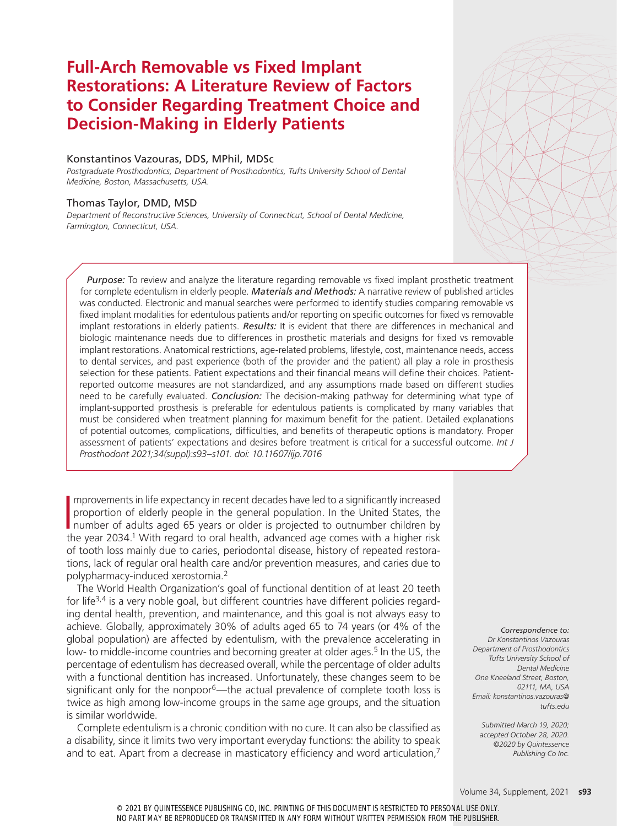# **Full-Arch Removable vs Fixed Implant Restorations: A Literature Review of Factors to Consider Regarding Treatment Choice and Decision-Making in Elderly Patients**

# Konstantinos Vazouras, DDS, MPhil, MDSc

*Postgraduate Prosthodontics, Department of Prosthodontics, Tufts University School of Dental Medicine, Boston, Massachusetts, USA.*

# Thomas Taylor, DMD, MSD

*Department of Reconstructive Sciences, University of Connecticut, School of Dental Medicine, Farmington, Connecticut, USA.*

*Purpose:* To review and analyze the literature regarding removable vs fixed implant prosthetic treatment for complete edentulism in elderly people. *Materials and Methods:* A narrative review of published articles was conducted. Electronic and manual searches were performed to identify studies comparing removable vs fixed implant modalities for edentulous patients and/or reporting on specific outcomes for fixed vs removable implant restorations in elderly patients. *Results:* It is evident that there are differences in mechanical and biologic maintenance needs due to differences in prosthetic materials and designs for fixed vs removable implant restorations. Anatomical restrictions, age-related problems, lifestyle, cost, maintenance needs, access to dental services, and past experience (both of the provider and the patient) all play a role in prosthesis selection for these patients. Patient expectations and their financial means will define their choices. Patientreported outcome measures are not standardized, and any assumptions made based on different studies need to be carefully evaluated. *Conclusion:* The decision-making pathway for determining what type of implant-supported prosthesis is preferable for edentulous patients is complicated by many variables that must be considered when treatment planning for maximum benefit for the patient. Detailed explanations of potential outcomes, complications, difficulties, and benefits of therapeutic options is mandatory. Proper assessment of patients' expectations and desires before treatment is critical for a successful outcome. *Int J Prosthodont 2021;34(suppl):s93–s101. doi: 10.11607/ijp.7016*

Improvements in life expectancy in recent decades have led to a significantly increased<br>proportion of elderly people in the general population. In the United States, the<br>number of adults aged 65 years or older is projected mprovements in life expectancy in recent decades have led to a significantly increased proportion of elderly people in the general population. In the United States, the the year 2034.<sup>1</sup> With regard to oral health, advanced age comes with a higher risk of tooth loss mainly due to caries, periodontal disease, history of repeated restorations, lack of regular oral health care and/or prevention measures, and caries due to polypharmacy-induced xerostomia.2

The World Health Organization's goal of functional dentition of at least 20 teeth for life<sup>3,4</sup> is a very noble goal, but different countries have different policies regarding dental health, prevention, and maintenance, and this goal is not always easy to achieve. Globally, approximately 30% of adults aged 65 to 74 years (or 4% of the global population) are affected by edentulism, with the prevalence accelerating in low- to middle-income countries and becoming greater at older ages.<sup>5</sup> In the US, the percentage of edentulism has decreased overall, while the percentage of older adults with a functional dentition has increased. Unfortunately, these changes seem to be significant only for the nonpoor<sup>6</sup>—the actual prevalence of complete tooth loss is twice as high among low-income groups in the same age groups, and the situation is similar worldwide.

Complete edentulism is a chronic condition with no cure. It can also be classified as a disability, since it limits two very important everyday functions: the ability to speak and to eat. Apart from a decrease in masticatory efficiency and word articulation,<sup>7</sup>

*Correspondence to: Dr Konstantinos Vazouras Department of Prosthodontics Tufts University School of Dental Medicine One Kneeland Street, Boston, 02111, MA, USA Email: konstantinos.vazouras@ tufts.edu*

*Submitted March 19, 2020; accepted October 28, 2020. ©2020 by Quintessence Publishing Co Inc.*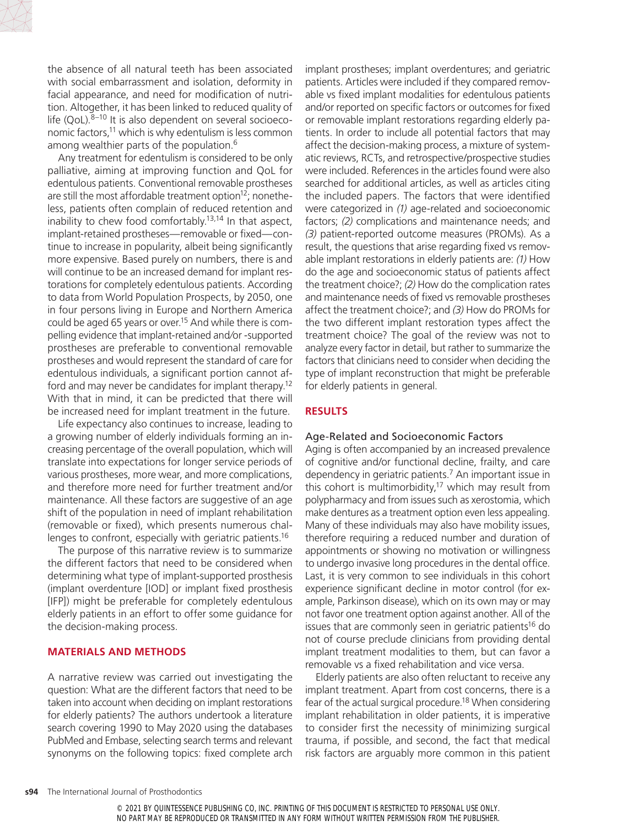

the absence of all natural teeth has been associated with social embarrassment and isolation, deformity in facial appearance, and need for modification of nutrition. Altogether, it has been linked to reduced quality of life (QoL). $8-10$  It is also dependent on several socioeconomic factors,<sup>11</sup> which is why edentulism is less common among wealthier parts of the population.<sup>6</sup>

Any treatment for edentulism is considered to be only palliative, aiming at improving function and QoL for edentulous patients. Conventional removable prostheses are still the most affordable treatment option $12$ ; nonetheless, patients often complain of reduced retention and inability to chew food comfortably.<sup>13,14</sup> In that aspect, implant-retained prostheses—removable or fixed—continue to increase in popularity, albeit being significantly more expensive. Based purely on numbers, there is and will continue to be an increased demand for implant restorations for completely edentulous patients. According to data from World Population Prospects, by 2050, one in four persons living in Europe and Northern America could be aged 65 years or over.<sup>15</sup> And while there is compelling evidence that implant-retained and⁄or -supported prostheses are preferable to conventional removable prostheses and would represent the standard of care for edentulous individuals, a significant portion cannot afford and may never be candidates for implant therapy.12 With that in mind, it can be predicted that there will be increased need for implant treatment in the future.

Life expectancy also continues to increase, leading to a growing number of elderly individuals forming an increasing percentage of the overall population, which will translate into expectations for longer service periods of various prostheses, more wear, and more complications, and therefore more need for further treatment and/or maintenance. All these factors are suggestive of an age shift of the population in need of implant rehabilitation (removable or fixed), which presents numerous challenges to confront, especially with geriatric patients.16

The purpose of this narrative review is to summarize the different factors that need to be considered when determining what type of implant-supported prosthesis (implant overdenture [IOD] or implant fixed prosthesis [IFP]) might be preferable for completely edentulous elderly patients in an effort to offer some guidance for the decision-making process.

#### **MATERIALS AND METHODS**

A narrative review was carried out investigating the question: What are the different factors that need to be taken into account when deciding on implant restorations for elderly patients? The authors undertook a literature search covering 1990 to May 2020 using the databases PubMed and Embase, selecting search terms and relevant synonyms on the following topics: fixed complete arch implant prostheses; implant overdentures; and geriatric patients. Articles were included if they compared removable vs fixed implant modalities for edentulous patients and/or reported on specific factors or outcomes for fixed or removable implant restorations regarding elderly patients. In order to include all potential factors that may affect the decision-making process, a mixture of systematic reviews, RCTs, and retrospective/prospective studies were included. References in the articles found were also searched for additional articles, as well as articles citing the included papers. The factors that were identified were categorized in *(1)* age-related and socioeconomic factors; *(2)* complications and maintenance needs; and *(3)* patient-reported outcome measures (PROMs). As a result, the questions that arise regarding fixed vs removable implant restorations in elderly patients are: *(1)* How do the age and socioeconomic status of patients affect the treatment choice?; *(2)* How do the complication rates and maintenance needs of fixed vs removable prostheses affect the treatment choice?; and *(3)* How do PROMs for the two different implant restoration types affect the treatment choice? The goal of the review was not to analyze every factor in detail, but rather to summarize the factors that clinicians need to consider when deciding the type of implant reconstruction that might be preferable for elderly patients in general.

#### **RESULTS**

#### Age-Related and Socioeconomic Factors

Aging is often accompanied by an increased prevalence of cognitive and/or functional decline, frailty, and care dependency in geriatric patients.7 An important issue in this cohort is multimorbidity,<sup>17</sup> which may result from polypharmacy and from issues such as xerostomia, which make dentures as a treatment option even less appealing. Many of these individuals may also have mobility issues, therefore requiring a reduced number and duration of appointments or showing no motivation or willingness to undergo invasive long procedures in the dental office. Last, it is very common to see individuals in this cohort experience significant decline in motor control (for example, Parkinson disease), which on its own may or may not favor one treatment option against another. All of the issues that are commonly seen in geriatric patients<sup>16</sup> do not of course preclude clinicians from providing dental implant treatment modalities to them, but can favor a removable vs a fixed rehabilitation and vice versa.

Elderly patients are also often reluctant to receive any implant treatment. Apart from cost concerns, there is a fear of the actual surgical procedure.<sup>18</sup> When considering implant rehabilitation in older patients, it is imperative to consider first the necessity of minimizing surgical trauma, if possible, and second, the fact that medical risk factors are arguably more common in this patient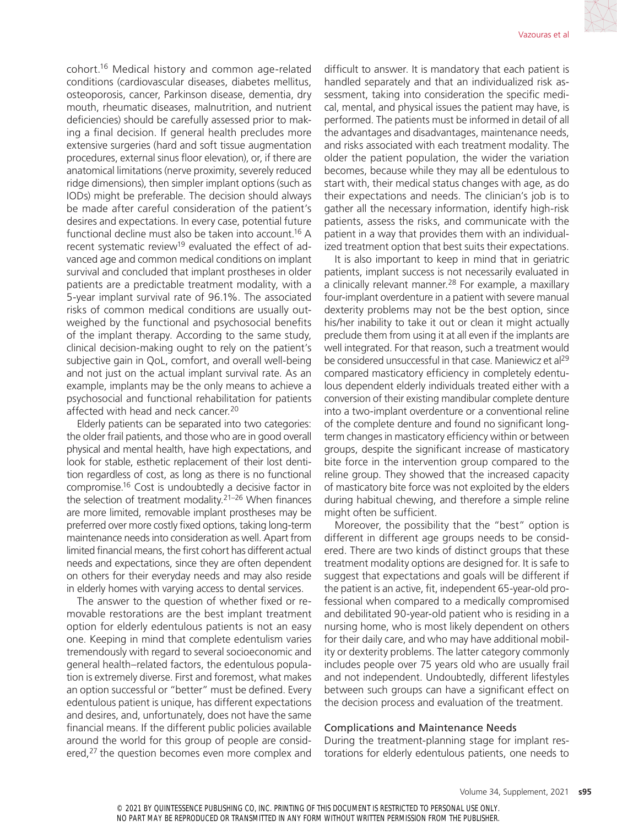cohort.16 Medical history and common age-related conditions (cardiovascular diseases, diabetes mellitus, osteoporosis, cancer, Parkinson disease, dementia, dry mouth, rheumatic diseases, malnutrition, and nutrient deficiencies) should be carefully assessed prior to making a final decision. If general health precludes more extensive surgeries (hard and soft tissue augmentation procedures, external sinus floor elevation), or, if there are anatomical limitations (nerve proximity, severely reduced ridge dimensions), then simpler implant options (such as IODs) might be preferable. The decision should always be made after careful consideration of the patient's desires and expectations. In every case, potential future functional decline must also be taken into account.<sup>16</sup> A recent systematic review<sup>19</sup> evaluated the effect of advanced age and common medical conditions on implant survival and concluded that implant prostheses in older patients are a predictable treatment modality, with a 5-year implant survival rate of 96.1%. The associated risks of common medical conditions are usually outweighed by the functional and psychosocial benefits of the implant therapy. According to the same study, clinical decision-making ought to rely on the patient's subjective gain in QoL, comfort, and overall well-being and not just on the actual implant survival rate. As an example, implants may be the only means to achieve a psychosocial and functional rehabilitation for patients affected with head and neck cancer.<sup>20</sup>

Elderly patients can be separated into two categories: the older frail patients, and those who are in good overall physical and mental health, have high expectations, and look for stable, esthetic replacement of their lost dentition regardless of cost, as long as there is no functional compromise.16 Cost is undoubtedly a decisive factor in the selection of treatment modality.21–26 When finances are more limited, removable implant prostheses may be preferred over more costly fixed options, taking long-term maintenance needs into consideration as well. Apart from limited financial means, the first cohort has different actual needs and expectations, since they are often dependent on others for their everyday needs and may also reside in elderly homes with varying access to dental services.

The answer to the question of whether fixed or removable restorations are the best implant treatment option for elderly edentulous patients is not an easy one. Keeping in mind that complete edentulism varies tremendously with regard to several socioeconomic and general health–related factors, the edentulous population is extremely diverse. First and foremost, what makes an option successful or "better" must be defined. Every edentulous patient is unique, has different expectations and desires, and, unfortunately, does not have the same financial means. If the different public policies available around the world for this group of people are considered,<sup>27</sup> the question becomes even more complex and difficult to answer. It is mandatory that each patient is handled separately and that an individualized risk assessment, taking into consideration the specific medical, mental, and physical issues the patient may have, is performed. The patients must be informed in detail of all the advantages and disadvantages, maintenance needs, and risks associated with each treatment modality. The older the patient population, the wider the variation becomes, because while they may all be edentulous to start with, their medical status changes with age, as do their expectations and needs. The clinician's job is to gather all the necessary information, identify high-risk patients, assess the risks, and communicate with the patient in a way that provides them with an individualized treatment option that best suits their expectations.

It is also important to keep in mind that in geriatric patients, implant success is not necessarily evaluated in a clinically relevant manner.<sup>28</sup> For example, a maxillary four-implant overdenture in a patient with severe manual dexterity problems may not be the best option, since his/her inability to take it out or clean it might actually preclude them from using it at all even if the implants are well integrated. For that reason, such a treatment would be considered unsuccessful in that case. Maniewicz et al<sup>29</sup> compared masticatory efficiency in completely edentulous dependent elderly individuals treated either with a conversion of their existing mandibular complete denture into a two‐implant overdenture or a conventional reline of the complete denture and found no significant long‐ term changes in masticatory efficiency within or between groups, despite the significant increase of masticatory bite force in the intervention group compared to the reline group. They showed that the increased capacity of masticatory bite force was not exploited by the elders during habitual chewing, and therefore a simple reline might often be sufficient.

Moreover, the possibility that the "best" option is different in different age groups needs to be considered. There are two kinds of distinct groups that these treatment modality options are designed for. It is safe to suggest that expectations and goals will be different if the patient is an active, fit, independent 65-year-old professional when compared to a medically compromised and debilitated 90-year-old patient who is residing in a nursing home, who is most likely dependent on others for their daily care, and who may have additional mobility or dexterity problems. The latter category commonly includes people over 75 years old who are usually frail and not independent. Undoubtedly, different lifestyles between such groups can have a significant effect on the decision process and evaluation of the treatment.

#### Complications and Maintenance Needs

During the treatment-planning stage for implant restorations for elderly edentulous patients, one needs to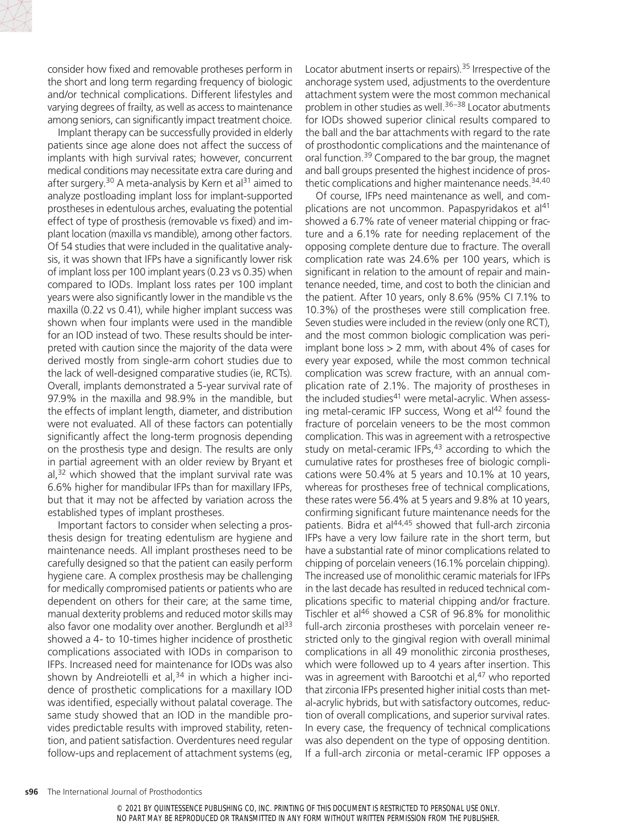

consider how fixed and removable protheses perform in the short and long term regarding frequency of biologic and/or technical complications. Different lifestyles and varying degrees of frailty, as well as access to maintenance among seniors, can significantly impact treatment choice.

Implant therapy can be successfully provided in elderly patients since age alone does not affect the success of implants with high survival rates; however, concurrent medical conditions may necessitate extra care during and after surgery.<sup>30</sup> A meta-analysis by Kern et al<sup>31</sup> aimed to analyze postloading implant loss for implant-supported prostheses in edentulous arches, evaluating the potential effect of type of prosthesis (removable vs fixed) and implant location (maxilla vs mandible), among other factors. Of 54 studies that were included in the qualitative analysis, it was shown that IFPs have a significantly lower risk of implant loss per 100 implant years (0.23 vs 0.35) when compared to IODs. Implant loss rates per 100 implant years were also significantly lower in the mandible vs the maxilla (0.22 vs 0.41), while higher implant success was shown when four implants were used in the mandible for an IOD instead of two. These results should be interpreted with caution since the majority of the data were derived mostly from single-arm cohort studies due to the lack of well-designed comparative studies (ie, RCTs). Overall, implants demonstrated a 5-year survival rate of 97.9% in the maxilla and 98.9% in the mandible, but the effects of implant length, diameter, and distribution were not evaluated. All of these factors can potentially significantly affect the long-term prognosis depending on the prosthesis type and design. The results are only in partial agreement with an older review by Bryant et  $al<sub>1</sub>$ <sup>32</sup> which showed that the implant survival rate was 6.6% higher for mandibular IFPs than for maxillary IFPs, but that it may not be affected by variation across the established types of implant prostheses.

Important factors to consider when selecting a prosthesis design for treating edentulism are hygiene and maintenance needs. All implant prostheses need to be carefully designed so that the patient can easily perform hygiene care. A complex prosthesis may be challenging for medically compromised patients or patients who are dependent on others for their care; at the same time, manual dexterity problems and reduced motor skills may also favor one modality over another. Berglundh et al<sup>33</sup> showed a 4- to 10-times higher incidence of prosthetic complications associated with IODs in comparison to IFPs. Increased need for maintenance for IODs was also shown by Andreiotelli et al, $34$  in which a higher incidence of prosthetic complications for a maxillary IOD was identified, especially without palatal coverage. The same study showed that an IOD in the mandible provides predictable results with improved stability, retention, and patient satisfaction. Overdentures need regular follow-ups and replacement of attachment systems (eg,

Locator abutment inserts or repairs).35 Irrespective of the anchorage system used, adjustments to the overdenture attachment system were the most common mechanical problem in other studies as well.36–38 Locator abutments for IODs showed superior clinical results compared to the ball and the bar attachments with regard to the rate of prosthodontic complications and the maintenance of oral function.39 Compared to the bar group, the magnet and ball groups presented the highest incidence of prosthetic complications and higher maintenance needs. $34,40$ 

Of course, IFPs need maintenance as well, and complications are not uncommon. Papaspyridakos et al<sup>41</sup> showed a 6.7% rate of veneer material chipping or fracture and a 6.1% rate for needing replacement of the opposing complete denture due to fracture. The overall complication rate was 24.6% per 100 years, which is significant in relation to the amount of repair and maintenance needed, time, and cost to both the clinician and the patient. After 10 years, only 8.6% (95% CI 7.1% to 10.3%) of the prostheses were still complication free. Seven studies were included in the review (only one RCT), and the most common biologic complication was periimplant bone loss > 2 mm, with about 4% of cases for every year exposed, while the most common technical complication was screw fracture, with an annual complication rate of 2.1%. The majority of prostheses in the included studies<sup>41</sup> were metal-acrylic. When assessing metal-ceramic IFP success, Wong et  $al<sup>42</sup>$  found the fracture of porcelain veneers to be the most common complication. This was in agreement with a retrospective study on metal-ceramic IFPs,<sup>43</sup> according to which the cumulative rates for prostheses free of biologic complications were 50.4% at 5 years and 10.1% at 10 years, whereas for prostheses free of technical complications, these rates were 56.4% at 5 years and 9.8% at 10 years, confirming significant future maintenance needs for the patients. Bidra et al44,45 showed that full-arch zirconia IFPs have a very low failure rate in the short term, but have a substantial rate of minor complications related to chipping of porcelain veneers (16.1% porcelain chipping). The increased use of monolithic ceramic materials for IFPs in the last decade has resulted in reduced technical complications specific to material chipping and/or fracture. Tischler et al<sup>46</sup> showed a CSR of 96.8% for monolithic full-arch zirconia prostheses with porcelain veneer restricted only to the gingival region with overall minimal complications in all 49 monolithic zirconia prostheses, which were followed up to 4 years after insertion. This was in agreement with Barootchi et al,<sup>47</sup> who reported that zirconia IFPs presented higher initial costs than metal-acrylic hybrids, but with satisfactory outcomes, reduction of overall complications, and superior survival rates. In every case, the frequency of technical complications was also dependent on the type of opposing dentition. If a full-arch zirconia or metal-ceramic IFP opposes a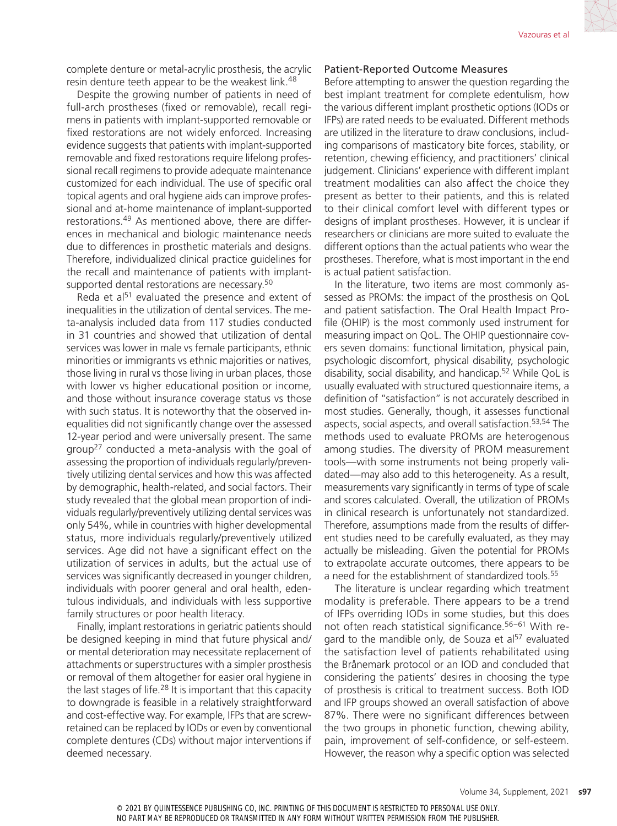complete denture or metal-acrylic prosthesis, the acrylic resin denture teeth appear to be the weakest link.<sup>48</sup>

Despite the growing number of patients in need of full-arch prostheses (fixed or removable), recall regimens in patients with implant-supported removable or fixed restorations are not widely enforced. Increasing evidence suggests that patients with implant-supported removable and fixed restorations require lifelong professional recall regimens to provide adequate maintenance customized for each individual. The use of specific oral topical agents and oral hygiene aids can improve professional and at-home maintenance of implant-supported restorations.49 As mentioned above, there are differences in mechanical and biologic maintenance needs due to differences in prosthetic materials and designs. Therefore, individualized clinical practice guidelines for the recall and maintenance of patients with implantsupported dental restorations are necessary.<sup>50</sup>

Reda et al<sup>51</sup> evaluated the presence and extent of inequalities in the utilization of dental services. The meta-analysis included data from 117 studies conducted in 31 countries and showed that utilization of dental services was lower in male vs female participants, ethnic minorities or immigrants vs ethnic majorities or natives, those living in rural vs those living in urban places, those with lower vs higher educational position or income, and those without insurance coverage status vs those with such status. It is noteworthy that the observed inequalities did not significantly change over the assessed 12-year period and were universally present. The same group27 conducted a meta-analysis with the goal of assessing the proportion of individuals regularly/preventively utilizing dental services and how this was affected by demographic, health-related, and social factors. Their study revealed that the global mean proportion of individuals regularly/preventively utilizing dental services was only 54%, while in countries with higher developmental status, more individuals regularly/preventively utilized services. Age did not have a significant effect on the utilization of services in adults, but the actual use of services was significantly decreased in younger children, individuals with poorer general and oral health, edentulous individuals, and individuals with less supportive family structures or poor health literacy.

Finally, implant restorations in geriatric patients should be designed keeping in mind that future physical and/ or mental deterioration may necessitate replacement of attachments or superstructures with a simpler prosthesis or removal of them altogether for easier oral hygiene in the last stages of life.<sup>28</sup> It is important that this capacity to downgrade is feasible in a relatively straightforward and cost-effective way. For example, IFPs that are screwretained can be replaced by IODs or even by conventional complete dentures (CDs) without major interventions if deemed necessary.

# Patient-Reported Outcome Measures

Before attempting to answer the question regarding the best implant treatment for complete edentulism, how the various different implant prosthetic options (IODs or IFPs) are rated needs to be evaluated. Different methods are utilized in the literature to draw conclusions, including comparisons of masticatory bite forces, stability, or retention, chewing efficiency, and practitioners' clinical judgement. Clinicians' experience with different implant treatment modalities can also affect the choice they present as better to their patients, and this is related to their clinical comfort level with different types or designs of implant prostheses. However, it is unclear if researchers or clinicians are more suited to evaluate the different options than the actual patients who wear the prostheses. Therefore, what is most important in the end is actual patient satisfaction.

In the literature, two items are most commonly assessed as PROMs: the impact of the prosthesis on QoL and patient satisfaction. The Oral Health Impact Profile (OHIP) is the most commonly used instrument for measuring impact on QoL. The OHIP questionnaire covers seven domains: functional limitation, physical pain, psychologic discomfort, physical disability, psychologic disability, social disability, and handicap.52 While QoL is usually evaluated with structured questionnaire items, a definition of "satisfaction" is not accurately described in most studies. Generally, though, it assesses functional aspects, social aspects, and overall satisfaction.53,54 The methods used to evaluate PROMs are heterogenous among studies. The diversity of PROM measurement tools—with some instruments not being properly validated—may also add to this heterogeneity. As a result, measurements vary significantly in terms of type of scale and scores calculated. Overall, the utilization of PROMs in clinical research is unfortunately not standardized. Therefore, assumptions made from the results of different studies need to be carefully evaluated, as they may actually be misleading. Given the potential for PROMs to extrapolate accurate outcomes, there appears to be a need for the establishment of standardized tools.<sup>55</sup>

The literature is unclear regarding which treatment modality is preferable. There appears to be a trend of IFPs overriding IODs in some studies, but this does not often reach statistical significance.56–61 With regard to the mandible only, de Souza et  $a^{57}$  evaluated the satisfaction level of patients rehabilitated using the Brånemark protocol or an IOD and concluded that considering the patients' desires in choosing the type of prosthesis is critical to treatment success. Both IOD and IFP groups showed an overall satisfaction of above 87%. There were no significant differences between the two groups in phonetic function, chewing ability, pain, improvement of self-confidence, or self-esteem. However, the reason why a specific option was selected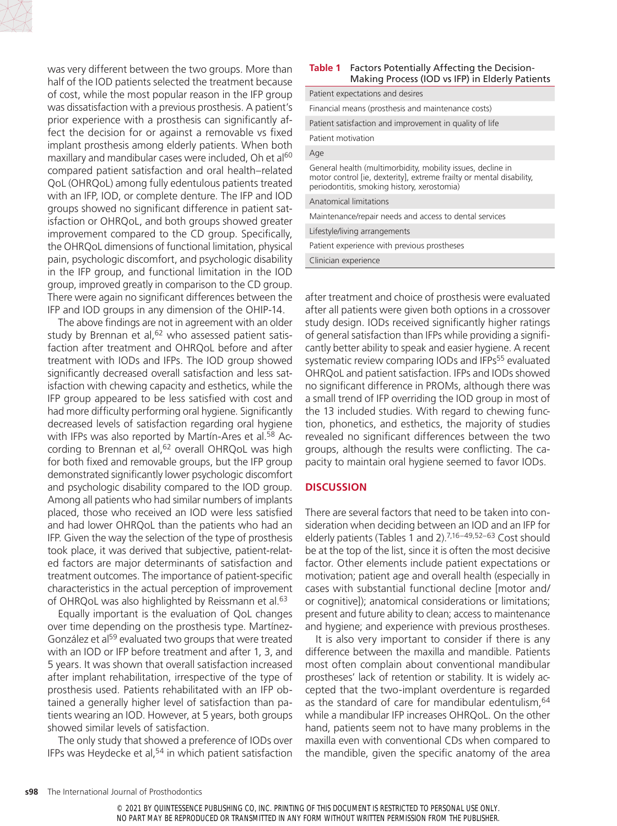

was very different between the two groups. More than half of the IOD patients selected the treatment because of cost, while the most popular reason in the IFP group was dissatisfaction with a previous prosthesis. A patient's prior experience with a prosthesis can significantly affect the decision for or against a removable vs fixed implant prosthesis among elderly patients. When both maxillary and mandibular cases were included, Oh et al<sup>60</sup> compared patient satisfaction and oral health–related QoL (OHRQoL) among fully edentulous patients treated with an IFP, IOD, or complete denture. The IFP and IOD groups showed no significant difference in patient satisfaction or OHRQoL, and both groups showed greater improvement compared to the CD group. Specifically, the OHRQoL dimensions of functional limitation, physical pain, psychologic discomfort, and psychologic disability in the IFP group, and functional limitation in the IOD group, improved greatly in comparison to the CD group. There were again no significant differences between the IFP and IOD groups in any dimension of the OHIP-14.

The above findings are not in agreement with an older study by Brennan et al, $62$  who assessed patient satisfaction after treatment and OHRQoL before and after treatment with IODs and IFPs. The IOD group showed significantly decreased overall satisfaction and less satisfaction with chewing capacity and esthetics, while the IFP group appeared to be less satisfied with cost and had more difficulty performing oral hygiene. Significantly decreased levels of satisfaction regarding oral hygiene with IFPs was also reported by Martín-Ares et al.<sup>58</sup> According to Brennan et al,<sup>62</sup> overall OHRQoL was high for both fixed and removable groups, but the IFP group demonstrated significantly lower psychologic discomfort and psychologic disability compared to the IOD group. Among all patients who had similar numbers of implants placed, those who received an IOD were less satisfied and had lower OHRQoL than the patients who had an IFP. Given the way the selection of the type of prosthesis took place, it was derived that subjective, patient-related factors are major determinants of satisfaction and treatment outcomes. The importance of patient-specific characteristics in the actual perception of improvement of OHRQoL was also highlighted by Reissmann et al.<sup>63</sup>

Equally important is the evaluation of QoL changes over time depending on the prosthesis type. Martínez-González et al<sup>59</sup> evaluated two groups that were treated with an IOD or IFP before treatment and after 1, 3, and 5 years. It was shown that overall satisfaction increased after implant rehabilitation, irrespective of the type of prosthesis used. Patients rehabilitated with an IFP obtained a generally higher level of satisfaction than patients wearing an IOD. However, at 5 years, both groups showed similar levels of satisfaction.

The only study that showed a preference of IODs over IFPs was Heydecke et al,<sup>54</sup> in which patient satisfaction

#### **Table 1** Factors Potentially Affecting the Decision-Making Process (IOD vs IFP) in Elderly Patients

| Patient expectations and desires                                                                                                                                                   |
|------------------------------------------------------------------------------------------------------------------------------------------------------------------------------------|
| Financial means (prosthesis and maintenance costs)                                                                                                                                 |
| Patient satisfaction and improvement in quality of life                                                                                                                            |
| Patient motivation                                                                                                                                                                 |
| Age                                                                                                                                                                                |
| General health (multimorbidity, mobility issues, decline in<br>motor control [ie, dexterity], extreme frailty or mental disability,<br>periodontitis, smoking history, xerostomia) |
| Anatomical limitations                                                                                                                                                             |
| Maintenance/repair needs and access to dental services                                                                                                                             |
| Lifestyle/living arrangements                                                                                                                                                      |
| Patient experience with previous prostheses                                                                                                                                        |
| Clinician experience                                                                                                                                                               |

after treatment and choice of prosthesis were evaluated after all patients were given both options in a crossover study design. IODs received significantly higher ratings of general satisfaction than IFPs while providing a significantly better ability to speak and easier hygiene. A recent systematic review comparing IODs and IFPs<sup>55</sup> evaluated OHRQoL and patient satisfaction. IFPs and IODs showed no significant difference in PROMs, although there was a small trend of IFP overriding the IOD group in most of the 13 included studies. With regard to chewing function, phonetics, and esthetics, the majority of studies revealed no significant differences between the two groups, although the results were conflicting. The capacity to maintain oral hygiene seemed to favor IODs.

# **DISCUSSION**

There are several factors that need to be taken into consideration when deciding between an IOD and an IFP for elderly patients (Tables 1 and 2).7,16–49,52–63 Cost should be at the top of the list, since it is often the most decisive factor. Other elements include patient expectations or motivation; patient age and overall health (especially in cases with substantial functional decline [motor and/ or cognitive]); anatomical considerations or limitations; present and future ability to clean; access to maintenance and hygiene; and experience with previous prostheses.

It is also very important to consider if there is any difference between the maxilla and mandible. Patients most often complain about conventional mandibular prostheses' lack of retention or stability. It is widely accepted that the two-implant overdenture is regarded as the standard of care for mandibular edentulism, <sup>64</sup> while a mandibular IFP increases OHRQoL. On the other hand, patients seem not to have many problems in the maxilla even with conventional CDs when compared to the mandible, given the specific anatomy of the area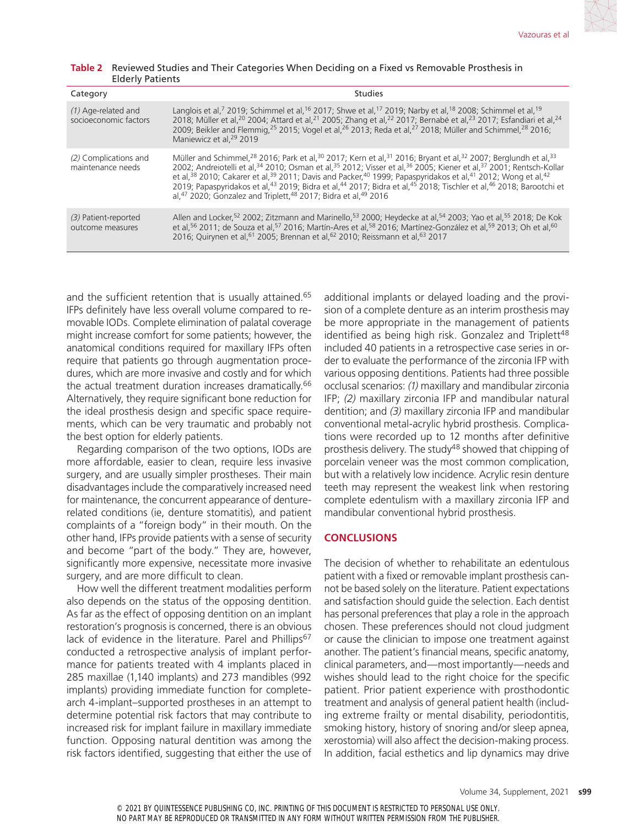| Table 2 Reviewed Studies and Their Categories When Deciding on a Fixed vs Removable Prosthesis in |  |
|---------------------------------------------------------------------------------------------------|--|
| <b>Elderly Patients</b>                                                                           |  |

| Category                                       | <b>Studies</b>                                                                                                                                                                                                                                                                                                                                                                                                                                                                                                                                                                                                                                                                                                                                                                  |
|------------------------------------------------|---------------------------------------------------------------------------------------------------------------------------------------------------------------------------------------------------------------------------------------------------------------------------------------------------------------------------------------------------------------------------------------------------------------------------------------------------------------------------------------------------------------------------------------------------------------------------------------------------------------------------------------------------------------------------------------------------------------------------------------------------------------------------------|
| $(1)$ Age-related and<br>socioeconomic factors | Langlois et al, <sup>7</sup> 2019; Schimmel et al, <sup>16</sup> 2017; Shwe et al, <sup>17</sup> 2019; Narby et al, <sup>18</sup> 2008; Schimmel et al, <sup>19</sup><br>2018; Müller et al, <sup>20</sup> 2004; Attard et al, <sup>21</sup> 2005; Zhang et al, <sup>22</sup> 2017; Bernabé et al, <sup>23</sup> 2017; Esfandiari et al, <sup>24</sup><br>2009; Beikler and Flemmig, <sup>25</sup> 2015; Vogel et al, <sup>26</sup> 2013; Reda et al, <sup>27</sup> 2018; Müller and Schimmel, <sup>28</sup> 2016;<br>Maniewicz et al. <sup>29</sup> 2019                                                                                                                                                                                                                       |
| (2) Complications and<br>maintenance needs     | Müller and Schimmel, <sup>28</sup> 2016; Park et al, <sup>30</sup> 2017; Kern et al, <sup>31</sup> 2016; Bryant et al, <sup>32</sup> 2007; Berglundh et al, <sup>33</sup><br>2002; Andreiotelli et al, <sup>34</sup> 2010; Osman et al, <sup>35</sup> 2012; Visser et al, <sup>36</sup> 2005; Kiener et al, <sup>37</sup> 2001; Rentsch-Kollar<br>et al, 38 2010; Cakarer et al, 39 2011; Davis and Packer, <sup>40</sup> 1999; Papaspyridakos et al, <sup>41</sup> 2012; Wong et al, <sup>42</sup><br>2019; Papaspyridakos et al, <sup>43</sup> 2019; Bidra et al, <sup>44</sup> 2017; Bidra et al, <sup>45</sup> 2018; Tischler et al, <sup>46</sup> 2018; Barootchi et<br>al, <sup>47</sup> 2020; Gonzalez and Triplett, <sup>48</sup> 2017; Bidra et al, <sup>49</sup> 2016 |
| (3) Patient-reported<br>outcome measures       | Allen and Locker, <sup>52</sup> 2002; Zitzmann and Marinello, <sup>53</sup> 2000; Heydecke at al, <sup>54</sup> 2003; Yao et al, <sup>55</sup> 2018; De Kok<br>et al, <sup>56</sup> 2011; de Souza et al, <sup>57</sup> 2016; Martín-Ares et al, <sup>58</sup> 2016; Martínez-González et al, <sup>59</sup> 2013: Oh et al, <sup>60</sup><br>2016; Quirynen et al, <sup>61</sup> 2005; Brennan et al, <sup>62</sup> 2010; Reissmann et al, <sup>63</sup> 2017                                                                                                                                                                                                                                                                                                                   |

and the sufficient retention that is usually attained.<sup>65</sup> IFPs definitely have less overall volume compared to removable IODs. Complete elimination of palatal coverage might increase comfort for some patients; however, the anatomical conditions required for maxillary IFPs often require that patients go through augmentation procedures, which are more invasive and costly and for which the actual treatment duration increases dramatically.<sup>66</sup> Alternatively, they require significant bone reduction for the ideal prosthesis design and specific space requirements, which can be very traumatic and probably not the best option for elderly patients.

Regarding comparison of the two options, IODs are more affordable, easier to clean, require less invasive surgery, and are usually simpler prostheses. Their main disadvantages include the comparatively increased need for maintenance, the concurrent appearance of denturerelated conditions (ie, denture stomatitis), and patient complaints of a "foreign body" in their mouth. On the other hand, IFPs provide patients with a sense of security and become "part of the body." They are, however, significantly more expensive, necessitate more invasive surgery, and are more difficult to clean.

How well the different treatment modalities perform also depends on the status of the opposing dentition. As far as the effect of opposing dentition on an implant restoration's prognosis is concerned, there is an obvious lack of evidence in the literature. Parel and Phillips<sup>67</sup> conducted a retrospective analysis of implant performance for patients treated with 4 implants placed in 285 maxillae (1,140 implants) and 273 mandibles (992 implants) providing immediate function for completearch 4-implant–supported prostheses in an attempt to determine potential risk factors that may contribute to increased risk for implant failure in maxillary immediate function. Opposing natural dentition was among the risk factors identified, suggesting that either the use of additional implants or delayed loading and the provision of a complete denture as an interim prosthesis may be more appropriate in the management of patients identified as being high risk. Gonzalez and Triplett<sup>48</sup> included 40 patients in a retrospective case series in order to evaluate the performance of the zirconia IFP with various opposing dentitions. Patients had three possible occlusal scenarios: *(1)* maxillary and mandibular zirconia IFP; *(2)* maxillary zirconia IFP and mandibular natural dentition; and *(3)* maxillary zirconia IFP and mandibular conventional metal-acrylic hybrid prosthesis. Complications were recorded up to 12 months after definitive prosthesis delivery. The study<sup>48</sup> showed that chipping of porcelain veneer was the most common complication, but with a relatively low incidence. Acrylic resin denture teeth may represent the weakest link when restoring complete edentulism with a maxillary zirconia IFP and mandibular conventional hybrid prosthesis.

## **CONCLUSIONS**

The decision of whether to rehabilitate an edentulous patient with a fixed or removable implant prosthesis cannot be based solely on the literature. Patient expectations and satisfaction should guide the selection. Each dentist has personal preferences that play a role in the approach chosen. These preferences should not cloud judgment or cause the clinician to impose one treatment against another. The patient's financial means, specific anatomy, clinical parameters, and—most importantly—needs and wishes should lead to the right choice for the specific patient. Prior patient experience with prosthodontic treatment and analysis of general patient health (including extreme frailty or mental disability, periodontitis, smoking history, history of snoring and/or sleep apnea, xerostomia) will also affect the decision-making process. In addition, facial esthetics and lip dynamics may drive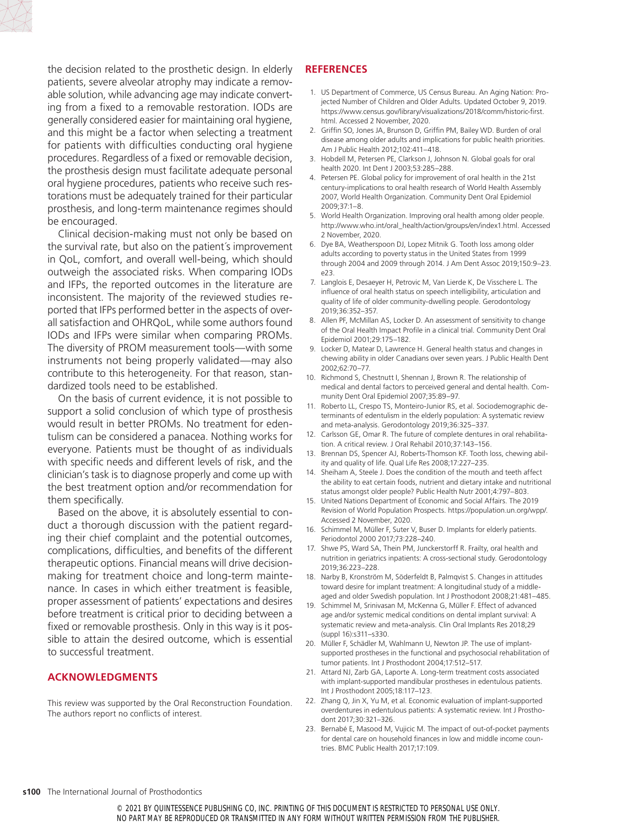

the decision related to the prosthetic design. In elderly patients, severe alveolar atrophy may indicate a removable solution, while advancing age may indicate converting from a fixed to a removable restoration. IODs are generally considered easier for maintaining oral hygiene, and this might be a factor when selecting a treatment for patients with difficulties conducting oral hygiene procedures. Regardless of a fixed or removable decision, the prosthesis design must facilitate adequate personal oral hygiene procedures, patients who receive such restorations must be adequately trained for their particular prosthesis, and long-term maintenance regimes should be encouraged.

Clinical decision-making must not only be based on the survival rate, but also on the patient´s improvement in QoL, comfort, and overall well-being, which should outweigh the associated risks. When comparing IODs and IFPs, the reported outcomes in the literature are inconsistent. The majority of the reviewed studies reported that IFPs performed better in the aspects of overall satisfaction and OHRQoL, while some authors found IODs and IFPs were similar when comparing PROMs. The diversity of PROM measurement tools—with some instruments not being properly validated—may also contribute to this heterogeneity. For that reason, standardized tools need to be established.

On the basis of current evidence, it is not possible to support a solid conclusion of which type of prosthesis would result in better PROMs. No treatment for edentulism can be considered a panacea. Nothing works for everyone. Patients must be thought of as individuals with specific needs and different levels of risk, and the clinician's task is to diagnose properly and come up with the best treatment option and/or recommendation for them specifically.

Based on the above, it is absolutely essential to conduct a thorough discussion with the patient regarding their chief complaint and the potential outcomes, complications, difficulties, and benefits of the different therapeutic options. Financial means will drive decisionmaking for treatment choice and long-term maintenance. In cases in which either treatment is feasible, proper assessment of patients' expectations and desires before treatment is critical prior to deciding between a fixed or removable prosthesis. Only in this way is it possible to attain the desired outcome, which is essential to successful treatment.

# **ACKNOWLEDGMENTS**

This review was supported by the Oral Reconstruction Foundation. The authors report no conflicts of interest.

# **REFERENCES**

- 1. US Department of Commerce, US Census Bureau. An Aging Nation: Projected Number of Children and Older Adults. Updated October 9, 2019. https://www.census.gov/library/visualizations/2018/comm/historic-first. html. Accessed 2 November, 2020.
- 2. Griffin SO, Jones JA, Brunson D, Griffin PM, Bailey WD. Burden of oral disease among older adults and implications for public health priorities. Am J Public Health 2012;102:411–418.
- 3. Hobdell M, Petersen PE, Clarkson J, Johnson N. Global goals for oral health 2020. Int Dent J 2003;53:285–288.
- 4. Petersen PE. Global policy for improvement of oral health in the 21st century-implications to oral health research of World Health Assembly 2007, World Health Organization. Community Dent Oral Epidemiol 2009;37:1–8.
- 5. World Health Organization. Improving oral health among older people. [http://www.who.int/oral\\_health/action/groups/en/index1.html.](http://www.who.int/oral_health/action/groups/en/index1.html) Accessed 2 November, 2020.
- 6. Dye BA, Weatherspoon DJ, Lopez Mitnik G. Tooth loss among older adults according to poverty status in the United States from 1999 through 2004 and 2009 through 2014. J Am Dent Assoc 2019;150:9–23. e23.
- 7. Langlois E, Desaeyer H, Petrovic M, Van Lierde K, De Visschere L. The influence of oral health status on speech intelligibility, articulation and quality of life of older community-dwelling people. Gerodontology 2019;36:352–357.
- 8. Allen PF, McMillan AS, Locker D. An assessment of sensitivity to change of the Oral Health Impact Profile in a clinical trial. Community Dent Oral Epidemiol 2001;29:175–182.
- 9. Locker D, Matear D, Lawrence H. General health status and changes in chewing ability in older Canadians over seven years. J Public Health Dent 2002;62:70–77.
- 10. Richmond S, Chestnutt I, Shennan J, Brown R. The relationship of medical and dental factors to perceived general and dental health. Community Dent Oral Epidemiol 2007;35:89–97.
- 11. Roberto LL, Crespo TS, Monteiro-Junior RS, et al. Sociodemographic determinants of edentulism in the elderly population: A systematic review and meta-analysis. Gerodontology 2019;36:325–337.
- 12. Carlsson GE, Omar R. The future of complete dentures in oral rehabilitation. A critical review. J Oral Rehabil 2010;37:143–156.
- 13. Brennan DS, Spencer AJ, Roberts-Thomson KF. Tooth loss, chewing ability and quality of life. Qual Life Res 2008;17:227–235.
- 14. Sheiham A, Steele J. Does the condition of the mouth and teeth affect the ability to eat certain foods, nutrient and dietary intake and nutritional status amongst older people? Public Health Nutr 2001;4:797–803.
- 15. United Nations Department of Economic and Social Affairs. The 2019 Revision of World Population Prospects. [https://population.un.org/wpp/.](https://population.un.org/wpp/) Accessed 2 November, 2020.
- 16. Schimmel M, Müller F, Suter V, Buser D. Implants for elderly patients. Periodontol 2000 2017;73:228–240.
- 17. Shwe PS, Ward SA, Thein PM, Junckerstorff R. Frailty, oral health and nutrition in geriatrics inpatients: A cross-sectional study. Gerodontology 2019;36:223–228.
- 18. Narby B, Kronström M, Söderfeldt B, Palmqvist S. Changes in attitudes toward desire for implant treatment: A longitudinal study of a middleaged and older Swedish population. Int J Prosthodont 2008;21:481–485.
- 19. Schimmel M, Srinivasan M, McKenna G, Müller F. Effect of advanced age and/or systemic medical conditions on dental implant survival: A systematic review and meta-analysis. Clin Oral Implants Res 2018;29 (suppl 16):s311–s330.
- 20. Müller F, Schädler M, Wahlmann U, Newton JP. The use of implantsupported prostheses in the functional and psychosocial rehabilitation of tumor patients. Int J Prosthodont 2004;17:512–517.
- 21. Attard NJ, Zarb GA, Laporte A. Long-term treatment costs associated with implant-supported mandibular prostheses in edentulous patients. Int J Prosthodont 2005;18:117–123.
- 22. Zhang Q, Jin X, Yu M, et al. Economic evaluation of implant-supported overdentures in edentulous patients: A systematic review. Int J Prosthodont 2017;30:321–326.
- 23. Bernabé E, Masood M, Vujicic M. The impact of out-of-pocket payments for dental care on household finances in low and middle income countries. BMC Public Health 2017;17:109.

#### **s100** The International Journal of Prosthodontics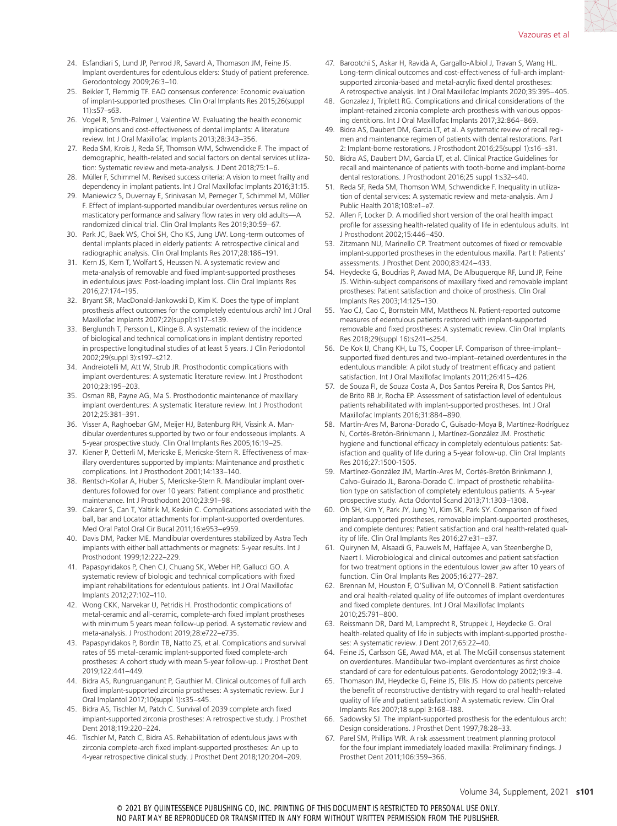- 24. Esfandiari S, Lund JP, Penrod JR, Savard A, Thomason JM, Feine JS. Implant overdentures for edentulous elders: Study of patient preference. Gerodontology 2009;26:3–10.
- 25. Beikler T, Flemmig TF. EAO consensus conference: Economic evaluation of implant-supported prostheses. Clin Oral Implants Res 2015;26(suppl 11):s57–s63.
- 26. Vogel R, Smith-Palmer J, Valentine W. Evaluating the health economic implications and cost-effectiveness of dental implants: A literature review. Int J Oral Maxillofac Implants 2013;28:343–356.
- 27. Reda SM, Krois J, Reda SF, Thomson WM, Schwendicke F. The impact of demographic, health-related and social factors on dental services utilization: Systematic review and meta-analysis. J Dent 2018;75:1–6.
- 28. Müller F, Schimmel M. Revised success criteria: A vision to meet frailty and dependency in implant patients. Int J Oral Maxillofac Implants 2016;31:15.
- 29. Maniewicz S, Duvernay E, Srinivasan M, Perneger T, Schimmel M, Müller F. Effect of implant-supported mandibular overdentures versus reline on masticatory performance and salivary flow rates in very old adults—A randomized clinical trial. Clin Oral Implants Res 2019;30:59–67.
- 30. Park JC, Baek WS, Choi SH, Cho KS, Jung UW. Long-term outcomes of dental implants placed in elderly patients: A retrospective clinical and radiographic analysis. Clin Oral Implants Res 2017;28:186–191.
- 31. Kern JS, Kern T, Wolfart S, Heussen N. A systematic review and meta-analysis of removable and fixed implant-supported prostheses in edentulous jaws: Post-loading implant loss. Clin Oral Implants Res 2016;27:174–195.
- 32. Bryant SR, MacDonald-Jankowski D, Kim K. Does the type of implant prosthesis affect outcomes for the completely edentulous arch? Int J Oral Maxillofac Implants 2007;22(suppl):s117–s139.
- 33. Berglundh T, Persson L, Klinge B. A systematic review of the incidence of biological and technical complications in implant dentistry reported in prospective longitudinal studies of at least 5 years. J Clin Periodontol 2002;29(suppl 3):s197–s212.
- 34. Andreiotelli M, Att W, Strub JR. Prosthodontic complications with implant overdentures: A systematic literature review. Int J Prosthodont 2010;23:195–203.
- 35. Osman RB, Payne AG, Ma S. Prosthodontic maintenance of maxillary implant overdentures: A systematic literature review. Int J Prosthodont 2012;25:381–391.
- 36. Visser A, Raghoebar GM, Meijer HJ, Batenburg RH, Vissink A. Mandibular overdentures supported by two or four endosseous implants. A 5-year prospective study. Clin Oral Implants Res 2005;16:19–25.
- 37. Kiener P, Oetterli M, Mericske E, Mericske-Stern R. Effectiveness of maxillary overdentures supported by implants: Maintenance and prosthetic complications. Int J Prosthodont 2001;14:133–140.
- 38. Rentsch-Kollar A, Huber S, Mericske-Stern R. Mandibular implant overdentures followed for over 10 years: Patient compliance and prosthetic maintenance. Int J Prosthodont 2010;23:91–98.
- 39. Cakarer S, Can T, Yaltirik M, Keskin C. Complications associated with the ball, bar and Locator attachments for implant-supported overdentures. Med Oral Patol Oral Cir Bucal 2011;16:e953–e959.
- 40. Davis DM, Packer ME. Mandibular overdentures stabilized by Astra Tech implants with either ball attachments or magnets: 5-year results. Int J Prosthodont 1999;12:222–229.
- 41. Papaspyridakos P, Chen CJ, Chuang SK, Weber HP, Gallucci GO. A systematic review of biologic and technical complications with fixed implant rehabilitations for edentulous patients. Int J Oral Maxillofac Implants 2012;27:102–110.
- 42. Wong CKK, Narvekar U, Petridis H. Prosthodontic complications of metal-ceramic and all-ceramic, complete-arch fixed implant prostheses with minimum 5 years mean follow-up period. A systematic review and meta-analysis. J Prosthodont 2019;28:e722–e735.
- 43. Papaspyridakos P, Bordin TB, Natto ZS, et al. Complications and survival rates of 55 metal-ceramic implant-supported fixed complete-arch prostheses: A cohort study with mean 5-year follow-up. J Prosthet Dent 2019;122:441–449.
- 44. Bidra AS, Rungruanganunt P, Gauthier M. Clinical outcomes of full arch fixed implant-supported zirconia prostheses: A systematic review. Eur J Oral Implantol 2017;10(suppl 1):s35–s45.
- 45. Bidra AS, Tischler M, Patch C. Survival of 2039 complete arch fixed implant-supported zirconia prostheses: A retrospective study. J Prosthet Dent 2018;119:220–224.
- 46. Tischler M, Patch C, Bidra AS. Rehabilitation of edentulous jaws with zirconia complete-arch fixed implant-supported prostheses: An up to 4-year retrospective clinical study. J Prosthet Dent 2018;120:204–209.
- 47. Barootchi S, Askar H, Ravidà A, Gargallo-Albiol J, Travan S, Wang HL. Long-term clinical outcomes and cost-effectiveness of full-arch implantsupported zirconia-based and metal-acrylic fixed dental prostheses: A retrospective analysis. Int J Oral Maxillofac Implants 2020;35:395–405.
- 48. Gonzalez J, Triplett RG. Complications and clinical considerations of the implant-retained zirconia complete-arch prosthesis with various opposing dentitions. Int J Oral Maxillofac Implants 2017;32:864–869.
- 49. Bidra AS, Daubert DM, Garcia LT, et al. A systematic review of recall regimen and maintenance regimen of patients with dental restorations. Part 2: Implant-borne restorations. J Prosthodont 2016;25(suppl 1):s16–s31.
- 50. Bidra AS, Daubert DM, Garcia LT, et al. Clinical Practice Guidelines for recall and maintenance of patients with tooth-borne and implant-borne dental restorations. J Prosthodont 2016;25 suppl 1:s32–s40.
- 51. Reda SF, Reda SM, Thomson WM, Schwendicke F. Inequality in utilization of dental services: A systematic review and meta-analysis. Am J Public Health 2018;108:e1–e7.
- 52. Allen F, Locker D. A modified short version of the oral health impact profile for assessing health-related quality of life in edentulous adults. Int J Prosthodont 2002;15:446–450.
- 53. Zitzmann NU, Marinello CP. Treatment outcomes of fixed or removable implant-supported prostheses in the edentulous maxilla. Part I: Patients' assessments. J Prosthet Dent 2000;83:424–433.
- 54. Heydecke G, Boudrias P, Awad MA, De Albuquerque RF, Lund JP, Feine JS. Within-subject comparisons of maxillary fixed and removable implant prostheses: Patient satisfaction and choice of prosthesis. Clin Oral Implants Res 2003;14:125–130.
- 55. Yao CJ, Cao C, Bornstein MM, Mattheos N. Patient-reported outcome measures of edentulous patients restored with implant-supported removable and fixed prostheses: A systematic review. Clin Oral Implants Res 2018;29(suppl 16):s241–s254.
- 56. De Kok IJ, Chang KH, Lu TS, Cooper LF. Comparison of three-implant– supported fixed dentures and two-implant–retained overdentures in the edentulous mandible: A pilot study of treatment efficacy and patient satisfaction. Int J Oral Maxillofac Implants 2011;26:415–426.
- 57. de Souza FI, de Souza Costa A, Dos Santos Pereira R, Dos Santos PH, de Brito RB Jr, Rocha EP. Assessment of satisfaction level of edentulous patients rehabilitated with implant-supported prostheses. Int J Oral Maxillofac Implants 2016;31:884–890.
- 58. Martín-Ares M, Barona-Dorado C, Guisado-Moya B, Martínez-Rodríguez N, Cortés-Bretón-Brinkmann J, Martínez-González JM. Prosthetic hygiene and functional efficacy in completely edentulous patients: Satisfaction and quality of life during a 5-year follow-up. Clin Oral Implants Res 2016;27:1500-1505.
- 59. Martínez-González JM, Martín-Ares M, Cortés-Bretón Brinkmann J, Calvo-Guirado JL, Barona-Dorado C. Impact of prosthetic rehabilitation type on satisfaction of completely edentulous patients. A 5-year prospective study. Acta Odontol Scand 2013;71:1303–1308.
- 60. Oh SH, Kim Y, Park JY, Jung YJ, Kim SK, Park SY. Comparison of fixed implant-supported prostheses, removable implant-supported prostheses, and complete dentures: Patient satisfaction and oral health-related quality of life. Clin Oral Implants Res 2016;27:e31–e37.
- 61. Quirynen M, Alsaadi G, Pauwels M, Haffajee A, van Steenberghe D, Naert I. Microbiological and clinical outcomes and patient satisfaction for two treatment options in the edentulous lower jaw after 10 years of function. Clin Oral Implants Res 2005;16:277–287.
- 62. Brennan M, Houston F, O'Sullivan M, O'Connell B. Patient satisfaction and oral health-related quality of life outcomes of implant overdentures and fixed complete dentures. Int J Oral Maxillofac Implants 2010;25:791–800.
- 63. Reissmann DR, Dard M, Lamprecht R, Struppek J, Heydecke G. Oral health-related quality of life in subjects with implant-supported prostheses: A systematic review. J Dent 2017;65:22–40.
- 64. Feine JS, Carlsson GE, Awad MA, et al. The McGill consensus statement on overdentures. Mandibular two-implant overdentures as first choice standard of care for edentulous patients. Gerodontology 2002;19:3–4.
- 65. Thomason JM, Heydecke G, Feine JS, Ellis JS. How do patients perceive the benefit of reconstructive dentistry with regard to oral health-related quality of life and patient satisfaction? A systematic review. Clin Oral Implants Res 2007;18 suppl 3:168–188.
- 66. Sadowsky SJ. The implant-supported prosthesis for the edentulous arch: Design considerations. J Prosthet Dent 1997;78:28–33.
- 67. Parel SM, Phillips WR. A risk assessment treatment planning protocol for the four implant immediately loaded maxilla: Preliminary findings. J Prosthet Dent 2011;106:359–366.